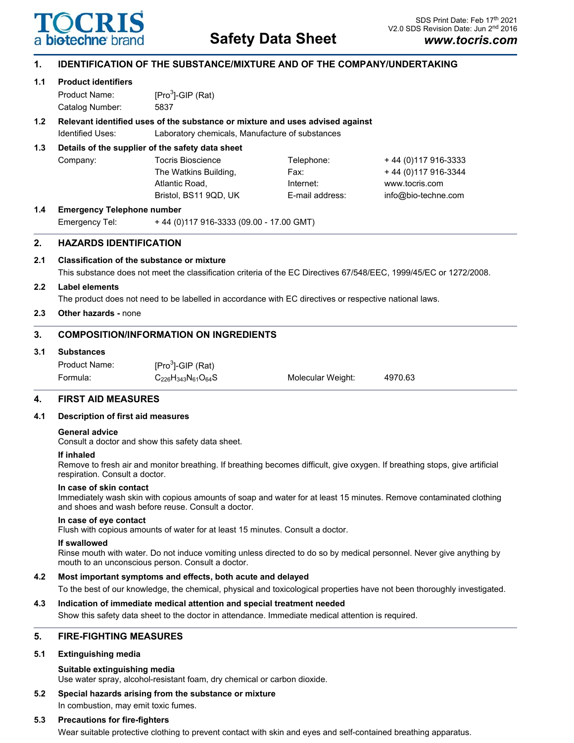

# **Safety Data Sheet**

# **1. IDENTIFICATION OF THE SUBSTANCE/MIXTURE AND OF THE COMPANY/UNDERTAKING**

# **1.1 Product identifiers** Product Name:  $[Pro<sup>3</sup>]$ -GIP (Rat) Catalog Number: 5837 **1.2 Relevant identified uses of the substance or mixture and uses advised against** Identified Uses: Laboratory chemicals, Manufacture of substances **1.3 Details of the supplier of the safety data sheet** Company: Tocris Bioscience Telephone: + 44 (0)117 916-3333 The Watkins Building,  $244 (0)$  Fax:  $44 (0)$  117 916-3344 Atlantic Road, Internet: www.tocris.com Bristol, BS11 9QD, UK E-mail address: info@bio-techne.com **1.4 Emergency Telephone number** Emergency Tel: + 44 (0)117 916-3333 (09.00 - 17.00 GMT) **2. HAZARDS IDENTIFICATION 2.1 Classification of the substance or mixture** This substance does not meet the classification criteria of the EC Directives 67/548/EEC, 1999/45/EC or 1272/2008. **2.2 Label elements** The product does not need to be labelled in accordance with EC directives or respective national laws. **2.3 Other hazards -** none **3. COMPOSITION/INFORMATION ON INGREDIENTS 3.1 Substances** Product Name:  $[Pro<sup>3</sup>]$ -GIP (Rat) Formula: C226H343N61O64S Molecular Weight: 4970.63 **4. FIRST AID MEASURES**

# **4.1 Description of first aid measures**

#### **General advice**

Consult a doctor and show this safety data sheet.

#### **If inhaled**

Remove to fresh air and monitor breathing. If breathing becomes difficult, give oxygen. If breathing stops, give artificial respiration. Consult a doctor.

#### **In case of skin contact**

Immediately wash skin with copious amounts of soap and water for at least 15 minutes. Remove contaminated clothing and shoes and wash before reuse. Consult a doctor.

#### **In case of eye contact**

Flush with copious amounts of water for at least 15 minutes. Consult a doctor.

#### **If swallowed**

Rinse mouth with water. Do not induce vomiting unless directed to do so by medical personnel. Never give anything by mouth to an unconscious person. Consult a doctor.

# **4.2 Most important symptoms and effects, both acute and delayed**

To the best of our knowledge, the chemical, physical and toxicological properties have not been thoroughly investigated.

#### **4.3 Indication of immediate medical attention and special treatment needed**

Show this safety data sheet to the doctor in attendance. Immediate medical attention is required.

# **5. FIRE-FIGHTING MEASURES**

#### **5.1 Extinguishing media**

#### **Suitable extinguishing media**

Use water spray, alcohol-resistant foam, dry chemical or carbon dioxide.

# **5.2 Special hazards arising from the substance or mixture**

In combustion, may emit toxic fumes.

#### **5.3 Precautions for fire-fighters**

Wear suitable protective clothing to prevent contact with skin and eyes and self-contained breathing apparatus.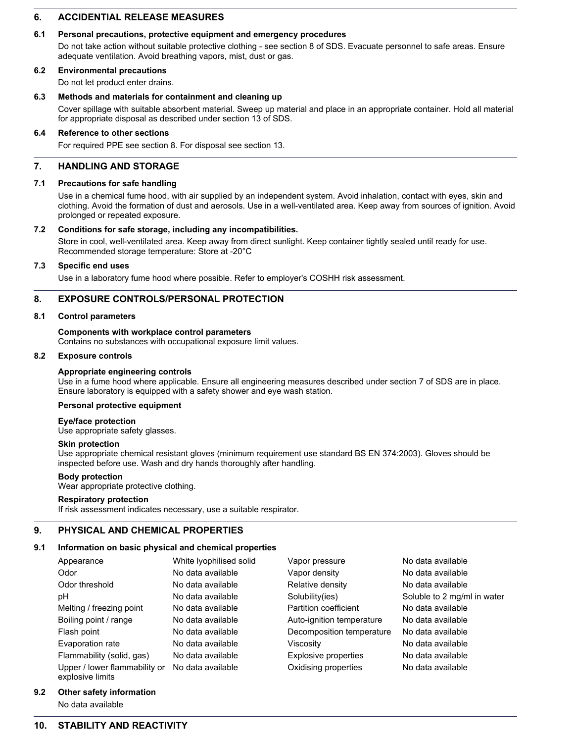# **6. ACCIDENTIAL RELEASE MEASURES**

#### **6.1 Personal precautions, protective equipment and emergency procedures**

Do not take action without suitable protective clothing - see section 8 of SDS. Evacuate personnel to safe areas. Ensure adequate ventilation. Avoid breathing vapors, mist, dust or gas.

#### **6.2 Environmental precautions**

Do not let product enter drains.

### **6.3 Methods and materials for containment and cleaning up**

Cover spillage with suitable absorbent material. Sweep up material and place in an appropriate container. Hold all material for appropriate disposal as described under section 13 of SDS.

#### **6.4 Reference to other sections**

For required PPE see section 8. For disposal see section 13.

# **7. HANDLING AND STORAGE**

### **7.1 Precautions for safe handling**

Use in a chemical fume hood, with air supplied by an independent system. Avoid inhalation, contact with eyes, skin and clothing. Avoid the formation of dust and aerosols. Use in a well-ventilated area. Keep away from sources of ignition. Avoid prolonged or repeated exposure.

### **7.2 Conditions for safe storage, including any incompatibilities.**

Store in cool, well-ventilated area. Keep away from direct sunlight. Keep container tightly sealed until ready for use. Recommended storage temperature: Store at -20°C

# **7.3 Specific end uses**

Use in a laboratory fume hood where possible. Refer to employer's COSHH risk assessment.

# **8. EXPOSURE CONTROLS/PERSONAL PROTECTION**

### **8.1 Control parameters**

### **Components with workplace control parameters**

Contains no substances with occupational exposure limit values.

#### **8.2 Exposure controls**

#### **Appropriate engineering controls**

Use in a fume hood where applicable. Ensure all engineering measures described under section 7 of SDS are in place. Ensure laboratory is equipped with a safety shower and eye wash station.

# **Personal protective equipment**

#### **Eye/face protection**

Use appropriate safety glasses.

#### **Skin protection**

Use appropriate chemical resistant gloves (minimum requirement use standard BS EN 374:2003). Gloves should be inspected before use. Wash and dry hands thoroughly after handling.

#### **Body protection**

Wear appropriate protective clothing.

#### **Respiratory protection**

If risk assessment indicates necessary, use a suitable respirator.

# **9. PHYSICAL AND CHEMICAL PROPERTIES**

# **9.1 Information on basic physical and chemical properties**

| Appearance                                        | White Iyophilised solid | Vapor pressure            | No data available           |
|---------------------------------------------------|-------------------------|---------------------------|-----------------------------|
| Odor                                              | No data available       | Vapor density             | No data available           |
| Odor threshold                                    | No data available       | Relative density          | No data available           |
| рH                                                | No data available       | Solubility(ies)           | Soluble to 2 mg/ml in water |
| Melting / freezing point                          | No data available       | Partition coefficient     | No data available           |
| Boiling point / range                             | No data available       | Auto-ignition temperature | No data available           |
| Flash point                                       | No data available       | Decomposition temperature | No data available           |
| Evaporation rate                                  | No data available       | Viscositv                 | No data available           |
| Flammability (solid, gas)                         | No data available       | Explosive properties      | No data available           |
| Upper / lower flammability or<br>explosive limits | No data available       | Oxidising properties      | No data available           |

# **9.2 Other safety information**

No data available

# **10. STABILITY AND REACTIVITY**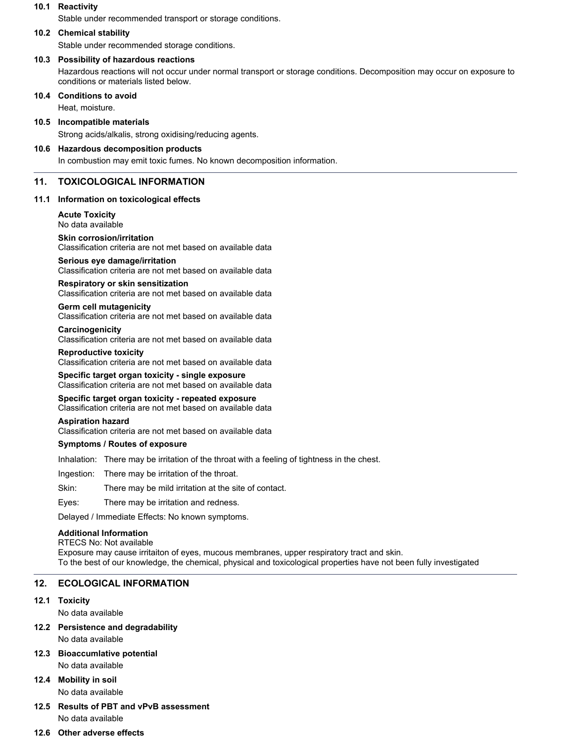# **10.1 Reactivity**

Stable under recommended transport or storage conditions.

#### **10.2 Chemical stability**

Stable under recommended storage conditions.

#### **10.3 Possibility of hazardous reactions**

Hazardous reactions will not occur under normal transport or storage conditions. Decomposition may occur on exposure to conditions or materials listed below.

#### **10.4 Conditions to avoid**

Heat, moisture.

### **10.5 Incompatible materials**

Strong acids/alkalis, strong oxidising/reducing agents.

# **10.6 Hazardous decomposition products**

In combustion may emit toxic fumes. No known decomposition information.

# **11. TOXICOLOGICAL INFORMATION**

### **11.1 Information on toxicological effects**

**Acute Toxicity** No data available

#### **Skin corrosion/irritation**

Classification criteria are not met based on available data

#### **Serious eye damage/irritation**

Classification criteria are not met based on available data

#### **Respiratory or skin sensitization**

Classification criteria are not met based on available data

# **Germ cell mutagenicity**

Classification criteria are not met based on available data

#### **Carcinogenicity**

Classification criteria are not met based on available data

#### **Reproductive toxicity**

Classification criteria are not met based on available data

**Specific target organ toxicity - single exposure** Classification criteria are not met based on available data

#### **Specific target organ toxicity - repeated exposure** Classification criteria are not met based on available data

#### **Aspiration hazard**

Classification criteria are not met based on available data

#### **Symptoms / Routes of exposure**

Inhalation: There may be irritation of the throat with a feeling of tightness in the chest.

Ingestion: There may be irritation of the throat.

Skin: There may be mild irritation at the site of contact.

Eyes: There may be irritation and redness.

Delayed / Immediate Effects: No known symptoms.

# **Additional Information**

RTECS No: Not available Exposure may cause irritaiton of eyes, mucous membranes, upper respiratory tract and skin. To the best of our knowledge, the chemical, physical and toxicological properties have not been fully investigated

# **12. ECOLOGICAL INFORMATION**

#### **12.1 Toxicity**

No data available

# **12.2 Persistence and degradability**

No data available

# **12.3 Bioaccumlative potential** No data available

**12.4 Mobility in soil** No data available

# **12.5 Results of PBT and vPvB assessment** No data available

#### **12.6 Other adverse effects**